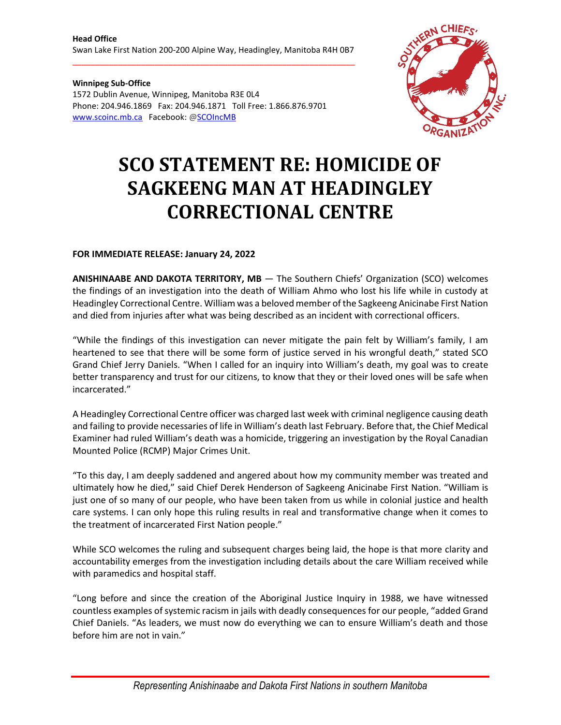\_\_\_\_\_\_\_\_\_\_\_\_\_\_\_\_\_\_\_\_\_\_\_\_\_\_\_\_\_\_\_\_\_\_\_\_\_\_\_\_\_\_\_\_\_\_\_\_\_\_\_\_\_\_\_\_\_\_\_\_\_\_

**Winnipeg Sub-Office** 1572 Dublin Avenue, Winnipeg, Manitoba R3E 0L4 Phone: 204.946.1869 Fax: 204.946.1871 Toll Free: 1.866.876.9701 [www.scoinc.mb.ca](http://www.scoinc.mb.ca/) Facebook: @SCOIncMB



## **SCO STATEMENT RE: HOMICIDE OF SAGKEENG MAN AT HEADINGLEY CORRECTIONAL CENTRE**

## **FOR IMMEDIATE RELEASE: January 24, 2022**

**ANISHINAABE AND DAKOTA TERRITORY, MB** — The Southern Chiefs' Organization (SCO) welcomes the findings of an investigation into the death of William Ahmo who lost his life while in custody at Headingley Correctional Centre. William was a beloved member of the Sagkeeng Anicinabe First Nation and died from injuries after what was being described as an incident with correctional officers.

"While the findings of this investigation can never mitigate the pain felt by William's family, I am heartened to see that there will be some form of justice served in his wrongful death," stated SCO Grand Chief Jerry Daniels. "When I called for an inquiry into William's death, my goal was to create better transparency and trust for our citizens, to know that they or their loved ones will be safe when incarcerated."

A Headingley Correctional Centre officer was charged last week with criminal negligence causing death and failing to provide necessaries of life in William's death last February. Before that, the Chief Medical Examiner had ruled William's death was a homicide, triggering an investigation by the Royal Canadian Mounted Police (RCMP) Major Crimes Unit.

"To this day, I am deeply saddened and angered about how my community member was treated and ultimately how he died," said Chief Derek Henderson of Sagkeeng Anicinabe First Nation. "William is just one of so many of our people, who have been taken from us while in colonial justice and health care systems. I can only hope this ruling results in real and transformative change when it comes to the treatment of incarcerated First Nation people."

While SCO welcomes the ruling and subsequent charges being laid, the hope is that more clarity and accountability emerges from the investigation including details about the care William received while with paramedics and hospital staff.

"Long before and since the creation of the Aboriginal Justice Inquiry in 1988, we have witnessed countless examples of systemic racism in jails with deadly consequences for our people, "added Grand Chief Daniels. "As leaders, we must now do everything we can to ensure William's death and those before him are not in vain."